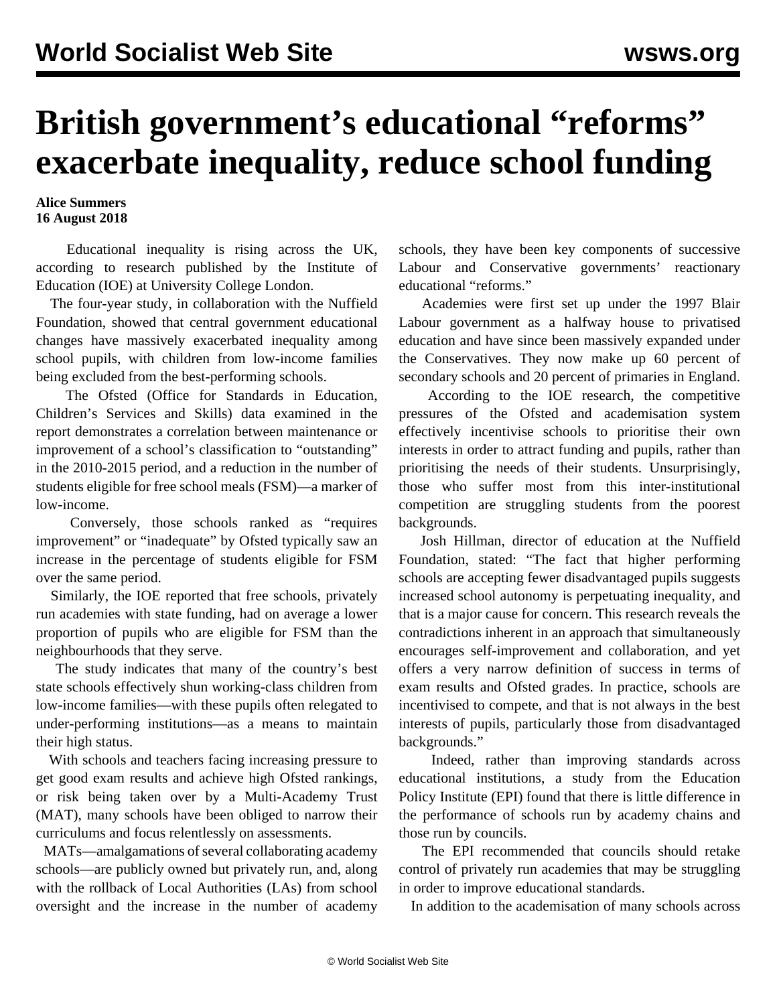## **British government's educational "reforms" exacerbate inequality, reduce school funding**

## **Alice Summers 16 August 2018**

 Educational inequality is rising across the UK, according to research published by the Institute of Education (IOE) at University College London.

 The four-year study, in collaboration with the Nuffield Foundation, showed that central government educational changes have massively exacerbated inequality among school pupils, with children from low-income families being excluded from the best-performing schools.

 The Ofsted (Office for Standards in Education, Children's Services and Skills) data examined in the report demonstrates a correlation between maintenance or improvement of a school's classification to "outstanding" in the 2010-2015 period, and a reduction in the number of students eligible for free school meals (FSM)—a marker of low-income.

 Conversely, those schools ranked as "requires improvement" or "inadequate" by Ofsted typically saw an increase in the percentage of students eligible for FSM over the same period.

 Similarly, the IOE reported that free schools, privately run academies with state funding, had on average a lower proportion of pupils who are eligible for FSM than the neighbourhoods that they serve.

 The study indicates that many of the country's best state schools effectively shun working-class children from low-income families—with these pupils often relegated to under-performing institutions—as a means to maintain their high status.

 With schools and teachers facing increasing pressure to get good exam results and achieve high Ofsted rankings, or risk being taken over by a Multi-Academy Trust (MAT), many schools have been obliged to narrow their curriculums and focus relentlessly on assessments.

 MATs—amalgamations of several collaborating academy schools—are publicly owned but privately run, and, along with the rollback of Local Authorities (LAs) from school oversight and the increase in the number of academy schools, they have been key components of successive Labour and Conservative governments' reactionary educational "reforms."

 Academies were first set up under the 1997 Blair Labour government as a halfway house to privatised education and have since been massively expanded under the Conservatives. They now make up 60 percent of secondary schools and 20 percent of primaries in England.

 According to the IOE research, the competitive pressures of the Ofsted and academisation system effectively incentivise schools to prioritise their own interests in order to attract funding and pupils, rather than prioritising the needs of their students. Unsurprisingly, those who suffer most from this inter-institutional competition are struggling students from the poorest backgrounds.

 Josh Hillman, director of education at the Nuffield Foundation, stated: "The fact that higher performing schools are accepting fewer disadvantaged pupils suggests increased school autonomy is perpetuating inequality, and that is a major cause for concern. This research reveals the contradictions inherent in an approach that simultaneously encourages self-improvement and collaboration, and yet offers a very narrow definition of success in terms of exam results and Ofsted grades. In practice, schools are incentivised to compete, and that is not always in the best interests of pupils, particularly those from disadvantaged backgrounds."

 Indeed, rather than improving standards across educational institutions, a study from the Education Policy Institute (EPI) found that there is little difference in the performance of schools run by academy chains and those run by councils.

 The EPI recommended that councils should retake control of privately run academies that may be struggling in order to improve educational standards.

In addition to the academisation of many schools across